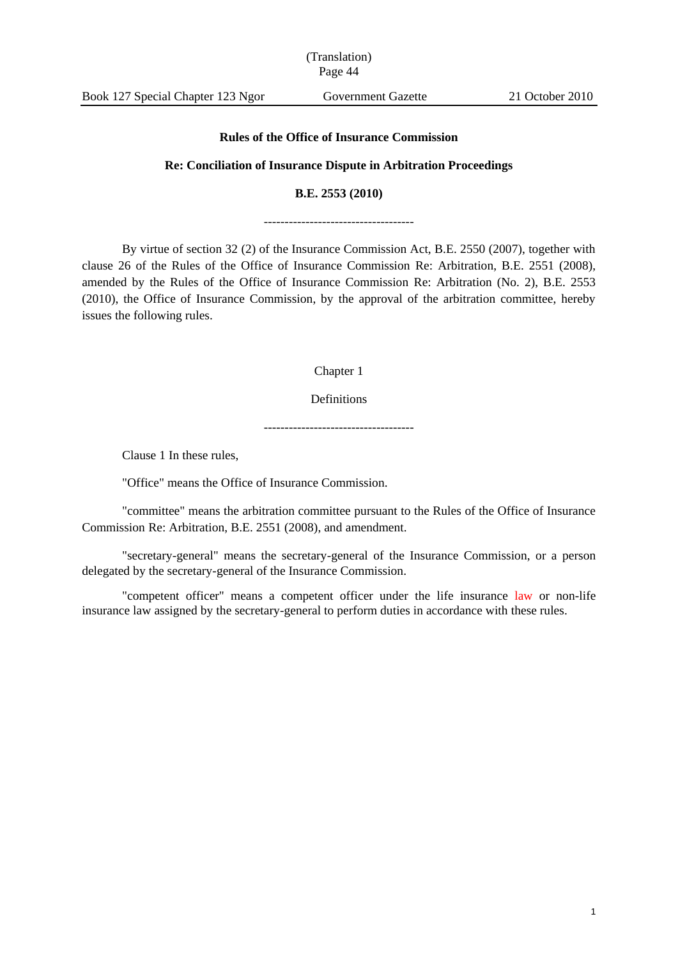Book 127 Special Chapter 123 Ngor Government Gazette 21 October 2010

#### **Rules of the Office of Insurance Commission**

#### **Re: Conciliation of Insurance Dispute in Arbitration Proceedings**

#### **B.E. 2553 (2010)**

------------------------------------

By virtue of section 32 (2) of the Insurance Commission Act, B.E. 2550 (2007), together with clause 26 of the Rules of the Office of Insurance Commission Re: Arbitration, B.E. 2551 (2008), amended by the Rules of the Office of Insurance Commission Re: Arbitration (No. 2), B.E. 2553 (2010), the Office of Insurance Commission, by the approval of the arbitration committee, hereby issues the following rules.

Chapter 1

Definitions

------------------------------------

Clause 1 In these rules,

"Office" means the Office of Insurance Commission.

"committee" means the arbitration committee pursuant to the Rules of the Office of Insurance Commission Re: Arbitration, B.E. 2551 (2008), and amendment.

"secretary-general" means the secretary-general of the Insurance Commission, or a person delegated by the secretary-general of the Insurance Commission.

"competent officer" means a competent officer under the life insurance law or non-life insurance law assigned by the secretary-general to perform duties in accordance with these rules.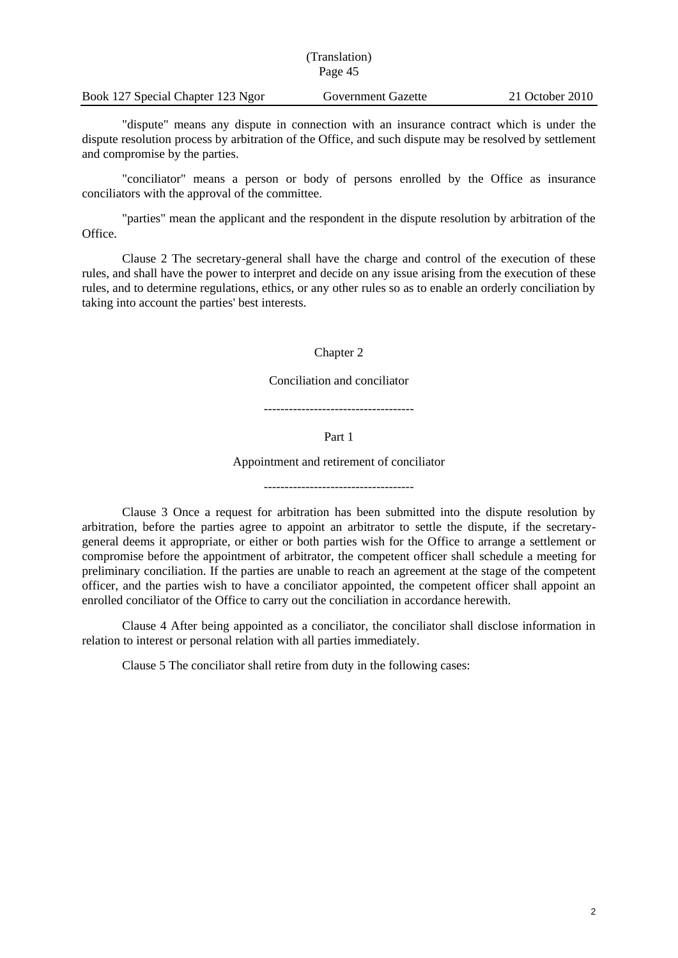| (Translation)<br>Page 45 |  |  |
|--------------------------|--|--|
|                          |  |  |

"dispute" means any dispute in connection with an insurance contract which is under the dispute resolution process by arbitration of the Office, and such dispute may be resolved by settlement and compromise by the parties.

"conciliator" means a person or body of persons enrolled by the Office as insurance conciliators with the approval of the committee.

"parties" mean the applicant and the respondent in the dispute resolution by arbitration of the Office.

Clause 2 The secretary-general shall have the charge and control of the execution of these rules, and shall have the power to interpret and decide on any issue arising from the execution of these rules, and to determine regulations, ethics, or any other rules so as to enable an orderly conciliation by taking into account the parties' best interests.

Chapter 2

Conciliation and conciliator

------------------------------------

Part 1

Appointment and retirement of conciliator

Clause 3 Once a request for arbitration has been submitted into the dispute resolution by arbitration, before the parties agree to appoint an arbitrator to settle the dispute, if the secretarygeneral deems it appropriate, or either or both parties wish for the Office to arrange a settlement or compromise before the appointment of arbitrator, the competent officer shall schedule a meeting for preliminary conciliation. If the parties are unable to reach an agreement at the stage of the competent officer, and the parties wish to have a conciliator appointed, the competent officer shall appoint an enrolled conciliator of the Office to carry out the conciliation in accordance herewith.

Clause 4 After being appointed as a conciliator, the conciliator shall disclose information in relation to interest or personal relation with all parties immediately.

Clause 5 The conciliator shall retire from duty in the following cases: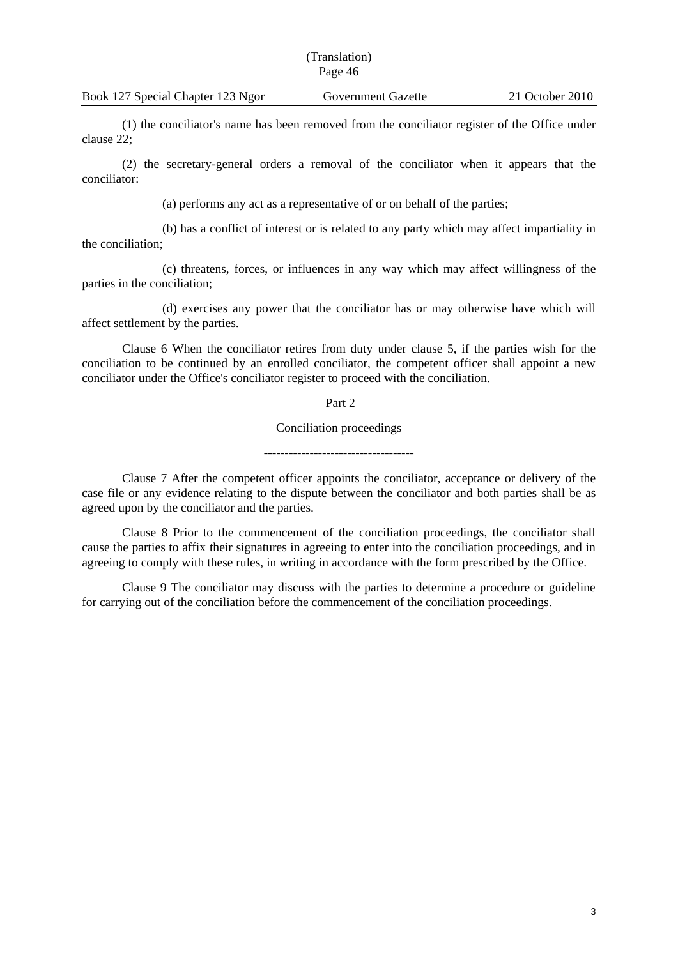(1) the conciliator's name has been removed from the conciliator register of the Office under clause 22;

(2) the secretary-general orders a removal of the conciliator when it appears that the conciliator:

(a) performs any act as a representative of or on behalf of the parties;

(b) has a conflict of interest or is related to any party which may affect impartiality in the conciliation;

(c) threatens, forces, or influences in any way which may affect willingness of the parties in the conciliation;

(d) exercises any power that the conciliator has or may otherwise have which will affect settlement by the parties.

Clause 6 When the conciliator retires from duty under clause 5, if the parties wish for the conciliation to be continued by an enrolled conciliator, the competent officer shall appoint a new conciliator under the Office's conciliator register to proceed with the conciliation.

Part 2

Conciliation proceedings

------------------------------------

Clause 7 After the competent officer appoints the conciliator, acceptance or delivery of the case file or any evidence relating to the dispute between the conciliator and both parties shall be as agreed upon by the conciliator and the parties.

Clause 8 Prior to the commencement of the conciliation proceedings, the conciliator shall cause the parties to affix their signatures in agreeing to enter into the conciliation proceedings, and in agreeing to comply with these rules, in writing in accordance with the form prescribed by the Office.

Clause 9 The conciliator may discuss with the parties to determine a procedure or guideline for carrying out of the conciliation before the commencement of the conciliation proceedings.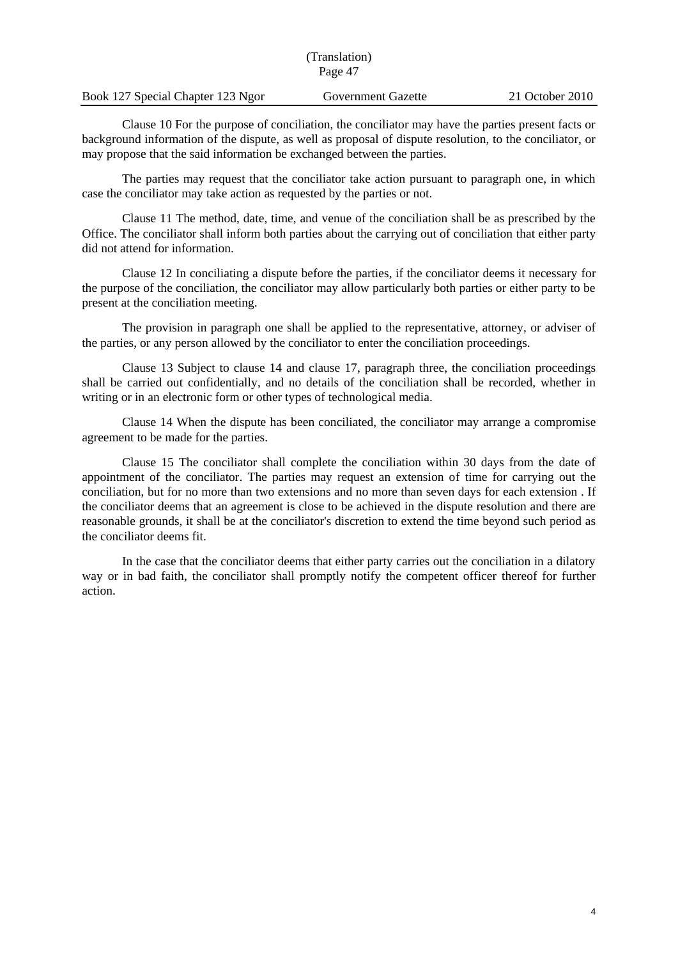| (Translation)<br>Page 47 |  |  |
|--------------------------|--|--|
|                          |  |  |

Clause 10 For the purpose of conciliation, the conciliator may have the parties present facts or background information of the dispute, as well as proposal of dispute resolution, to the conciliator, or may propose that the said information be exchanged between the parties.

The parties may request that the conciliator take action pursuant to paragraph one, in which case the conciliator may take action as requested by the parties or not.

Clause 11 The method, date, time, and venue of the conciliation shall be as prescribed by the Office. The conciliator shall inform both parties about the carrying out of conciliation that either party did not attend for information.

Clause 12 In conciliating a dispute before the parties, if the conciliator deems it necessary for the purpose of the conciliation, the conciliator may allow particularly both parties or either party to be present at the conciliation meeting.

The provision in paragraph one shall be applied to the representative, attorney, or adviser of the parties, or any person allowed by the conciliator to enter the conciliation proceedings.

Clause 13 Subject to clause 14 and clause 17, paragraph three, the conciliation proceedings shall be carried out confidentially, and no details of the conciliation shall be recorded, whether in writing or in an electronic form or other types of technological media.

Clause 14 When the dispute has been conciliated, the conciliator may arrange a compromise agreement to be made for the parties.

Clause 15 The conciliator shall complete the conciliation within 30 days from the date of appointment of the conciliator. The parties may request an extension of time for carrying out the conciliation, but for no more than two extensions and no more than seven days for each extension . If the conciliator deems that an agreement is close to be achieved in the dispute resolution and there are reasonable grounds, it shall be at the conciliator's discretion to extend the time beyond such period as the conciliator deems fit.

In the case that the conciliator deems that either party carries out the conciliation in a dilatory way or in bad faith, the conciliator shall promptly notify the competent officer thereof for further action.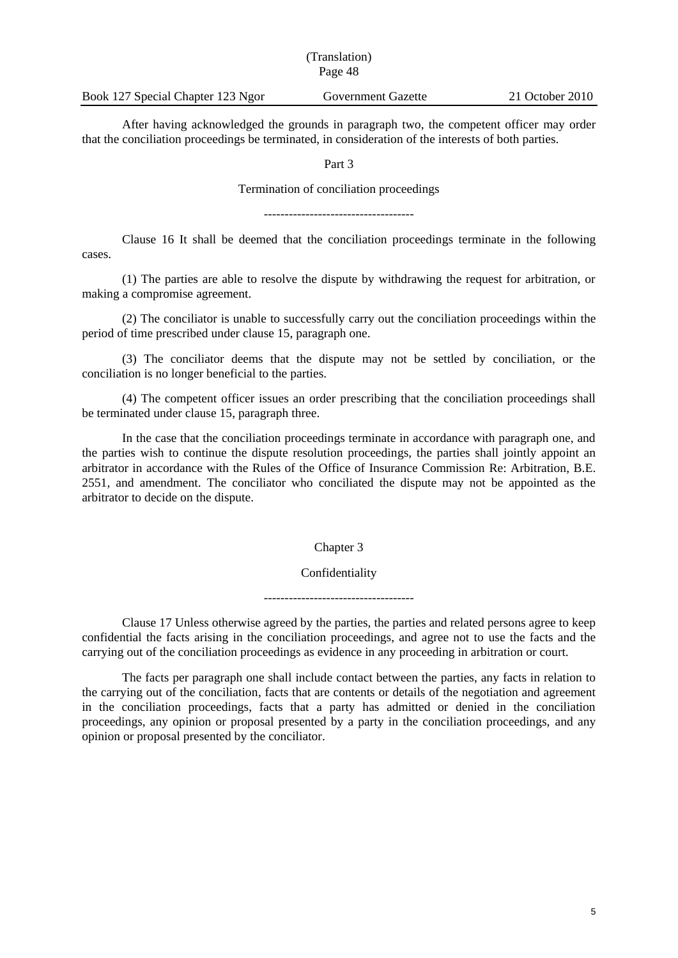| Book 127 Special Chapter 123 Ngor | Government Gazette | 21 October 2010 |
|-----------------------------------|--------------------|-----------------|

After having acknowledged the grounds in paragraph two, the competent officer may order that the conciliation proceedings be terminated, in consideration of the interests of both parties.

Part 3

Termination of conciliation proceedings

------------------------------------

Clause 16 It shall be deemed that the conciliation proceedings terminate in the following cases.

(1) The parties are able to resolve the dispute by withdrawing the request for arbitration, or making a compromise agreement.

(2) The conciliator is unable to successfully carry out the conciliation proceedings within the period of time prescribed under clause 15, paragraph one.

(3) The conciliator deems that the dispute may not be settled by conciliation, or the conciliation is no longer beneficial to the parties.

(4) The competent officer issues an order prescribing that the conciliation proceedings shall be terminated under clause 15, paragraph three.

In the case that the conciliation proceedings terminate in accordance with paragraph one, and the parties wish to continue the dispute resolution proceedings, the parties shall jointly appoint an arbitrator in accordance with the Rules of the Office of Insurance Commission Re: Arbitration, B.E. 2551, and amendment. The conciliator who conciliated the dispute may not be appointed as the arbitrator to decide on the dispute.

## Chapter 3

## Confidentiality

------------------------------------

Clause 17 Unless otherwise agreed by the parties, the parties and related persons agree to keep confidential the facts arising in the conciliation proceedings, and agree not to use the facts and the carrying out of the conciliation proceedings as evidence in any proceeding in arbitration or court.

The facts per paragraph one shall include contact between the parties, any facts in relation to the carrying out of the conciliation, facts that are contents or details of the negotiation and agreement in the conciliation proceedings, facts that a party has admitted or denied in the conciliation proceedings, any opinion or proposal presented by a party in the conciliation proceedings, and any opinion or proposal presented by the conciliator.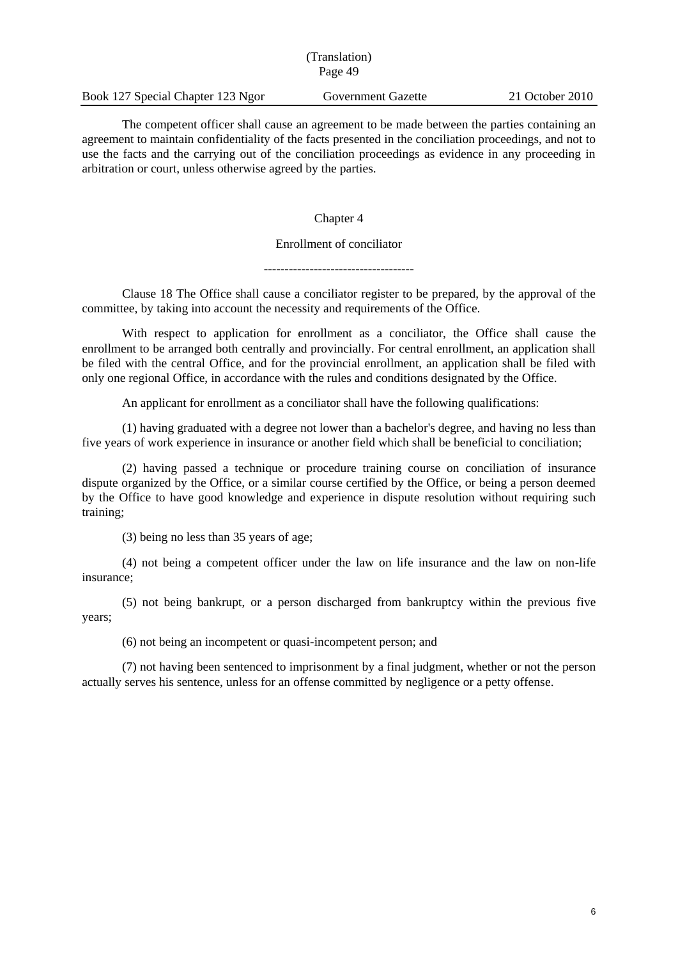| (Translation)<br>Page 49          |                    |                 |
|-----------------------------------|--------------------|-----------------|
| Book 127 Special Chapter 123 Ngor | Government Gazette | 21 October 2010 |

The competent officer shall cause an agreement to be made between the parties containing an agreement to maintain confidentiality of the facts presented in the conciliation proceedings, and not to use the facts and the carrying out of the conciliation proceedings as evidence in any proceeding in arbitration or court, unless otherwise agreed by the parties.

Chapter 4

## Enrollment of conciliator

------------------------------------

Clause 18 The Office shall cause a conciliator register to be prepared, by the approval of the committee, by taking into account the necessity and requirements of the Office.

With respect to application for enrollment as a conciliator, the Office shall cause the enrollment to be arranged both centrally and provincially. For central enrollment, an application shall be filed with the central Office, and for the provincial enrollment, an application shall be filed with only one regional Office, in accordance with the rules and conditions designated by the Office.

An applicant for enrollment as a conciliator shall have the following qualifications:

(1) having graduated with a degree not lower than a bachelor's degree, and having no less than five years of work experience in insurance or another field which shall be beneficial to conciliation;

(2) having passed a technique or procedure training course on conciliation of insurance dispute organized by the Office, or a similar course certified by the Office, or being a person deemed by the Office to have good knowledge and experience in dispute resolution without requiring such training;

(3) being no less than 35 years of age;

(4) not being a competent officer under the law on life insurance and the law on non-life insurance;

(5) not being bankrupt, or a person discharged from bankruptcy within the previous five years;

(6) not being an incompetent or quasi-incompetent person; and

(7) not having been sentenced to imprisonment by a final judgment, whether or not the person actually serves his sentence, unless for an offense committed by negligence or a petty offense.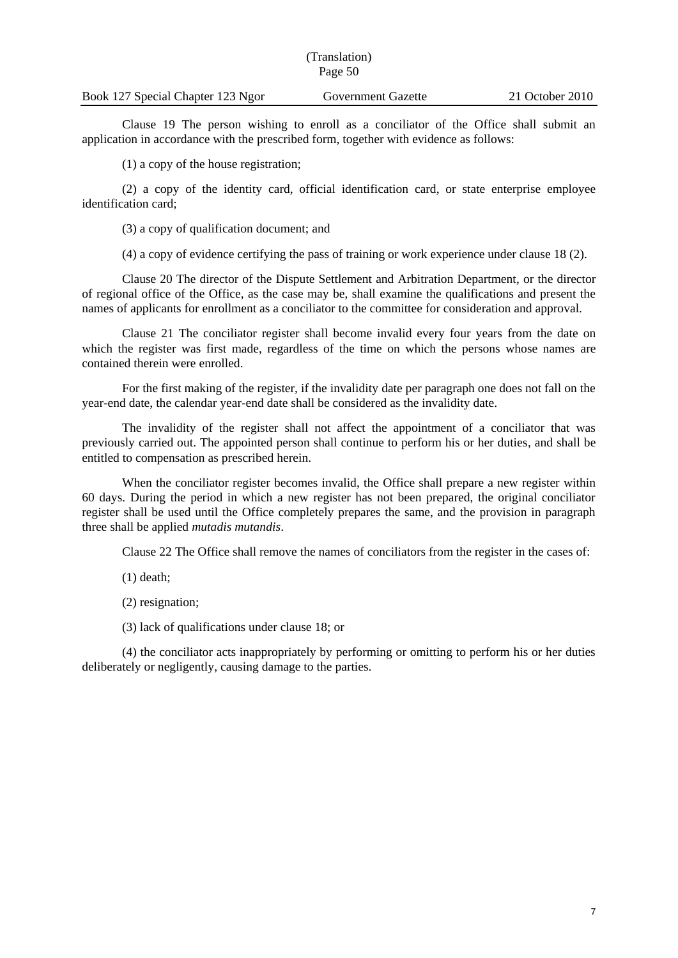| Book 127 Special Chapter 123 Ngor | Government Gazette | 21 October 2010 |
|-----------------------------------|--------------------|-----------------|

Clause 19 The person wishing to enroll as a conciliator of the Office shall submit an application in accordance with the prescribed form, together with evidence as follows:

(1) a copy of the house registration;

(2) a copy of the identity card, official identification card, or state enterprise employee identification card;

(3) a copy of qualification document; and

(4) a copy of evidence certifying the pass of training or work experience under clause 18 (2).

Clause 20 The director of the Dispute Settlement and Arbitration Department, or the director of regional office of the Office, as the case may be, shall examine the qualifications and present the names of applicants for enrollment as a conciliator to the committee for consideration and approval.

Clause 21 The conciliator register shall become invalid every four years from the date on which the register was first made, regardless of the time on which the persons whose names are contained therein were enrolled.

For the first making of the register, if the invalidity date per paragraph one does not fall on the year-end date, the calendar year-end date shall be considered as the invalidity date.

The invalidity of the register shall not affect the appointment of a conciliator that was previously carried out. The appointed person shall continue to perform his or her duties, and shall be entitled to compensation as prescribed herein.

When the conciliator register becomes invalid, the Office shall prepare a new register within 60 days. During the period in which a new register has not been prepared, the original conciliator register shall be used until the Office completely prepares the same, and the provision in paragraph three shall be applied *mutadis mutandis*.

Clause 22 The Office shall remove the names of conciliators from the register in the cases of:

(1) death;

(2) resignation;

(3) lack of qualifications under clause 18; or

(4) the conciliator acts inappropriately by performing or omitting to perform his or her duties deliberately or negligently, causing damage to the parties.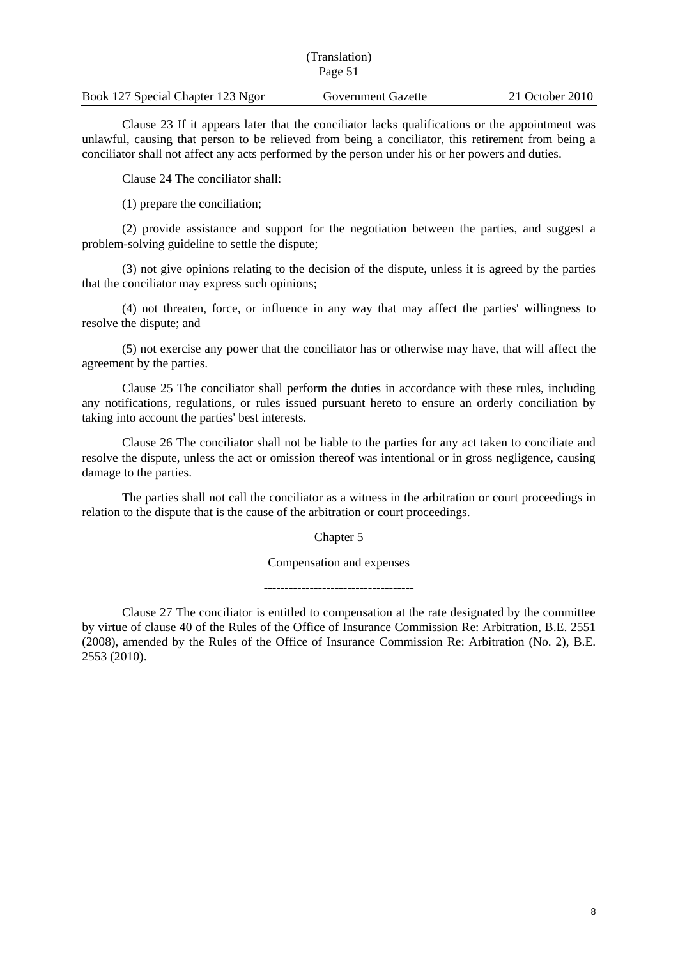| Book 127 Special Chapter 123 Ngor | Government Gazette | 21 October 2010 |
|-----------------------------------|--------------------|-----------------|

Clause 23 If it appears later that the conciliator lacks qualifications or the appointment was unlawful, causing that person to be relieved from being a conciliator, this retirement from being a conciliator shall not affect any acts performed by the person under his or her powers and duties.

Clause 24 The conciliator shall:

(1) prepare the conciliation;

(2) provide assistance and support for the negotiation between the parties, and suggest a problem-solving guideline to settle the dispute;

(3) not give opinions relating to the decision of the dispute, unless it is agreed by the parties that the conciliator may express such opinions;

(4) not threaten, force, or influence in any way that may affect the parties' willingness to resolve the dispute; and

(5) not exercise any power that the conciliator has or otherwise may have, that will affect the agreement by the parties.

Clause 25 The conciliator shall perform the duties in accordance with these rules, including any notifications, regulations, or rules issued pursuant hereto to ensure an orderly conciliation by taking into account the parties' best interests.

Clause 26 The conciliator shall not be liable to the parties for any act taken to conciliate and resolve the dispute, unless the act or omission thereof was intentional or in gross negligence, causing damage to the parties.

The parties shall not call the conciliator as a witness in the arbitration or court proceedings in relation to the dispute that is the cause of the arbitration or court proceedings.

Chapter 5

Compensation and expenses

Clause 27 The conciliator is entitled to compensation at the rate designated by the committee by virtue of clause 40 of the Rules of the Office of Insurance Commission Re: Arbitration, B.E. 2551 (2008), amended by the Rules of the Office of Insurance Commission Re: Arbitration (No. 2), B.E. 2553 (2010).